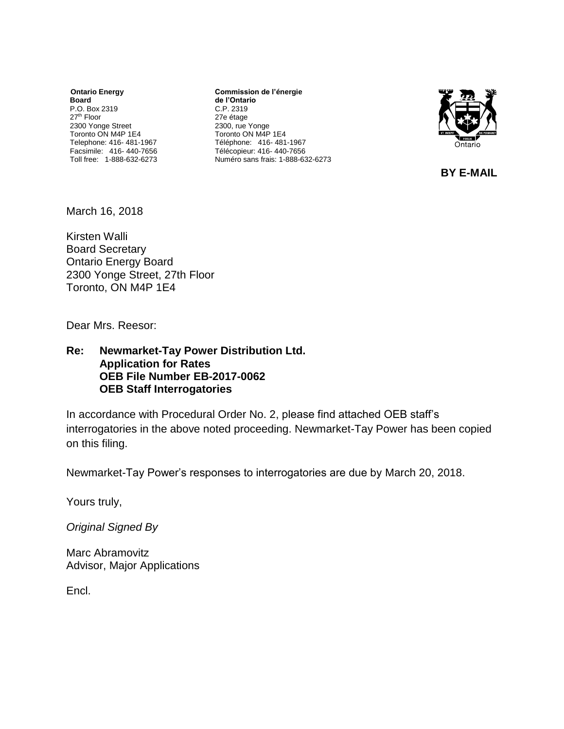*<u>Ontario Energy</u>* **Board** P.O. Box 2319 27th Floor 2300 Yonge Street Toronto ON M4P 1E4 Telephone: 416- 481-1967 Facsimile: 416- 440-7656 Toll free: 1-888-632-6273

**Commission de l'énergie de l'Ontario** C.P. 2319 27e étage 2300, rue Yonge Toronto ON M4P 1E4 Téléphone: 416- 481-1967 Télécopieur: 416- 440-7656 Numéro sans frais: 1-888-632-6273



**BY E-MAIL**

March 16, 2018

Kirsten Walli Board Secretary Ontario Energy Board 2300 Yonge Street, 27th Floor Toronto, ON M4P 1E4

Dear Mrs. Reesor:

**Re: Newmarket-Tay Power Distribution Ltd. Application for Rates OEB File Number EB-2017-0062 OEB Staff Interrogatories**

In accordance with Procedural Order No. 2, please find attached OEB staff's interrogatories in the above noted proceeding. Newmarket-Tay Power has been copied on this filing.

Newmarket-Tay Power's responses to interrogatories are due by March 20, 2018.

Yours truly,

*Original Signed By*

Marc Abramovitz Advisor, Major Applications

Encl.